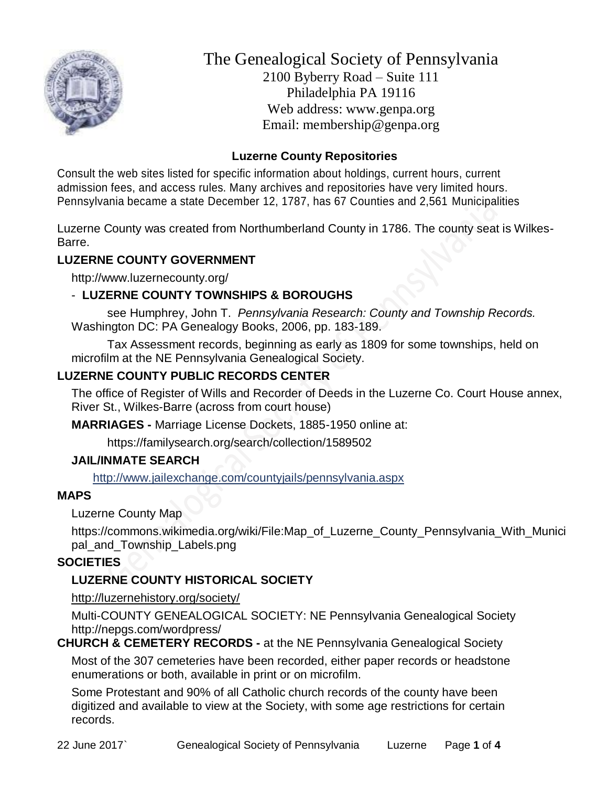

The Genealogical Society of Pennsylvania 2100 Byberry Road – Suite 111 Philadelphia PA 19116 Web address: www.genpa.org Email: membership@genpa.org

# **Luzerne County Repositories**

Consult the web sites listed for specific information about holdings, current hours, current admission fees, and access rules. Many archives and repositories have very limited hours. Pennsylvania became a state December 12, 1787, has 67 Counties and 2,561 Municipalities

Luzerne County was created from Northumberland County in 1786. The county seat is Wilkes-Barre.

# **LUZERNE COUNTY GOVERNMENT**

http://www.luzernecounty.org/

# - **LUZERNE COUNTY TOWNSHIPS & BOROUGHS**

see Humphrey, John T. *Pennsylvania Research: County and Township Records.* Washington DC: PA Genealogy Books, 2006, pp. 183-189.

Tax Assessment records, beginning as early as 1809 for some townships, held on microfilm at the NE Pennsylvania Genealogical Society.

# **LUZERNE COUNTY PUBLIC RECORDS CENTER**

The office of Register of Wills and Recorder of Deeds in the Luzerne Co. Court House annex, River St., Wilkes-Barre (across from court house)

**MARRIAGES -** Marriage License Dockets, 1885-1950 online at:

https://familysearch.org/search/collection/1589502

# **JAIL/INMATE SEARCH**

<http://www.jailexchange.com/countyjails/pennsylvania.aspx>

# **MAPS**

Luzerne County Map

https://commons.wikimedia.org/wiki/File:Map\_of\_Luzerne\_County\_Pennsylvania\_With\_Munici pal\_and\_Township\_Labels.png

# **SOCIETIES**

# **LUZERNE COUNTY HISTORICAL SOCIETY**

[http://luzernehistory.org/society/](http://www.bradfordhistory.com/) 

Multi-COUNTY GENEALOGICAL SOCIETY: NE Pennsylvania Genealogical Society http://nepgs.com/wordpress/

**CHURCH & CEMETERY RECORDS -** at the NE Pennsylvania Genealogical Society

Most of the 307 cemeteries have been recorded, either paper records or headstone enumerations or both, available in print or on microfilm.

Some Protestant and 90% of all Catholic church records of the county have been digitized and available to view at the Society, with some age restrictions for certain records.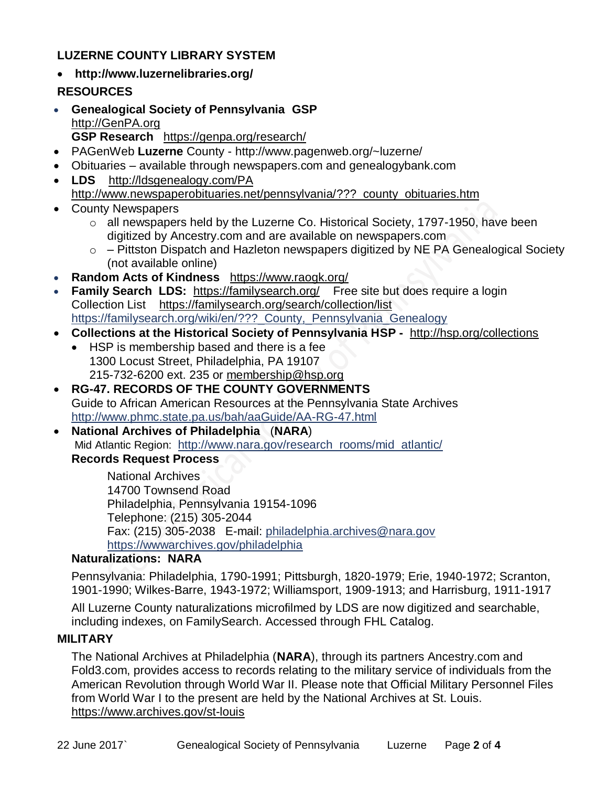# **LUZERNE COUNTY LIBRARY SYSTEM**

- **http://www.luzernelibraries.org/ RESOURCES**
- **Genealogical Society of Pennsylvania GSP** [http://GenPA.org](http://genpa.org/) **GSP Research** <https://genpa.org/research/>
- PAGenWeb **Luzerne** County http://www.pagenweb.org/~luzerne/
- Obituaries available through newspapers.com and genealogybank.com
- **LDS** <http://ldsgenealogy.com/PA> [http://www.newspaperobituaries.net/pennsylvania/???\\_county\\_obituaries.htm](http://www.newspaperobituaries.net/pennsylvania/bradford_county_obituaries.htm)
- County Newspapers
	- o all newspapers held by the Luzerne Co. Historical Society, 1797-1950, have been digitized by Ancestry.com and are available on newspapers.com
	- $\circ$  Pittston Dispatch and Hazleton newspapers digitized by NE PA Genealogical Society (not available online)
- **Random Acts of Kindness** <https://www.raogk.org/>
- **Family Search LDS:** <https://familysearch.org/>Free site but does require a login Collection List <https://familysearch.org/search/collection/list> https://familysearch.org/wiki/en/??? County, Pennsylvania Genealogy
- **Collections at the Historical Society of Pennsylvania HSP -** <http://hsp.org/collections>
	- HSP is membership based and there is a fee 1300 Locust Street, Philadelphia, PA 19107 215-732-6200 ext. 235 or [membership@hsp.org](mailto:membership@hsp.org)
- **RG-47. RECORDS OF THE COUNTY GOVERNMENTS** Guide to African American Resources at the Pennsylvania State Archives <http://www.phmc.state.pa.us/bah/aaGuide/AA-RG-47.html>
- **National Archives of Philadelphia** (**NARA**) Mid Atlantic Region: [http://www.nara.gov/research\\_rooms/mid\\_atlantic/](http://www.nara.gov/research_rooms/mid_atlantic/) **Records Request Process**

National Archives 14700 Townsend Road Philadelphia, Pennsylvania 19154-1096 Telephone: (215) 305-2044 Fax: (215) 305-2038 E-mail: [philadelphia.archives@nara.gov](mailto:philadelphia.archives@nara.gov) <https://wwwarchives.gov/philadelphia>

#### **Naturalizations: NARA**

Pennsylvania: Philadelphia, 1790-1991; Pittsburgh, 1820-1979; Erie, 1940-1972; Scranton, 1901-1990; Wilkes-Barre, 1943-1972; Williamsport, 1909-1913; and Harrisburg, 1911-1917

All Luzerne County naturalizations microfilmed by LDS are now digitized and searchable, including indexes, on FamilySearch. Accessed through FHL Catalog.

#### **MILITARY**

The National Archives at Philadelphia (**NARA**), through its partners Ancestry.com and Fold3.com, provides access to records relating to the military service of individuals from the American Revolution through World War II. Please note that Official Military Personnel Files from World War I to the present are held by the National Archives at St. Louis. <https://www.archives.gov/st-louis>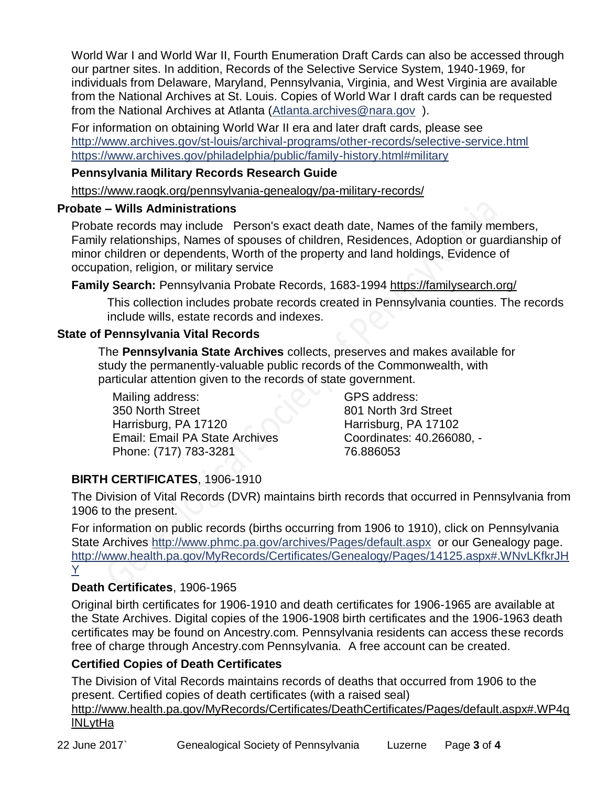World War I and World War II, Fourth Enumeration Draft Cards can also be accessed through our partner sites. In addition, Records of the Selective Service System, 1940-1969, for individuals from Delaware, Maryland, Pennsylvania, Virginia, and West Virginia are available from the National Archives at St. Louis. Copies of World War I draft cards can be requested from the National Archives at Atlanta [\(Atlanta.archives@nara.gov](mailto:Atlanta.archives@nara.gov) ).

For information on obtaining World War II era and later draft cards, please see <http://www.archives.gov/st-louis/archival-programs/other-records/selective-service.html> <https://www.archives.gov/philadelphia/public/family-history.html#military>

#### **Pennsylvania Military Records Research Guide**

<https://www.raogk.org/pennsylvania-genealogy/pa-military-records/>

# **Probate – Wills Administrations**

Probate records may include Person's exact death date, Names of the family members, Family relationships, Names of spouses of children, Residences, Adoption or guardianship of minor children or dependents, Worth of the property and land holdings, Evidence of occupation, religion, or military service

**Family Search:** Pennsylvania Probate Records, 1683-1994 <https://familysearch.org/>

This collection includes probate records created in Pennsylvania counties. The records include wills, estate records and indexes.

# **State of Pennsylvania Vital Records**

The **Pennsylvania State Archives** collects, preserves and makes available for study the permanently-valuable public records of the Commonwealth, with particular attention given to the records of state government.

Mailing address: 350 North Street Harrisburg, PA 17120 Email: Email PA State Archives Phone: (717) 783-3281

GPS address: 801 North 3rd Street Harrisburg, PA 17102 Coordinates: 40.266080, - 76.886053

# **BIRTH CERTIFICATES**, 1906-1910

The Division of Vital Records (DVR) maintains birth records that occurred in Pennsylvania from 1906 to the present.

For information on public records (births occurring from 1906 to 1910), click on Pennsylvania State Archives <http://www.phmc.pa.gov/archives/Pages/default.aspx>or our Genealogy page. [http://www.health.pa.gov/MyRecords/Certificates/Genealogy/Pages/14125.aspx#.WNvLKfkrJH](http://www.health.pa.gov/MyRecords/Certificates/Genealogy/Pages/14125.aspx#.WNvLKfkrJHY) [Y](http://www.health.pa.gov/MyRecords/Certificates/Genealogy/Pages/14125.aspx#.WNvLKfkrJHY)

# **Death Certificates**, 1906-1965

Original birth certificates for 1906-1910 and death certificates for 1906-1965 are available at the State Archives. Digital copies of the 1906-1908 birth certificates and the 1906-1963 death certificates may be found on Ancestry.com. Pennsylvania residents can access these records free of charge through Ancestry.com Pennsylvania. A free account can be created.

# **Certified Copies of Death Certificates**

The Division of Vital Records maintains records of deaths that occurred from 1906 to the present. Certified copies of death certificates (with a raised seal)

http://www.health.pa.gov/MyRecords/Certificates/DeathCertificates/Pages/default.aspx#.WP4q **INL**vtHa